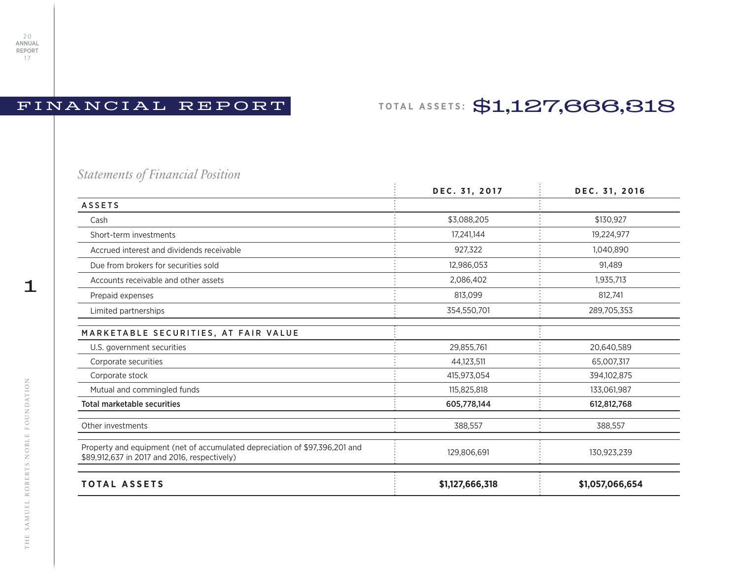## FINANCIAL REPORT

## **TOTAL ASSETS:** \$1,127,666,318

*Statements of Financial Position*

|                                                                                                                             | DEC. 31, 2017   | DEC. 31, 2016   |
|-----------------------------------------------------------------------------------------------------------------------------|-----------------|-----------------|
| <b>ASSETS</b>                                                                                                               |                 |                 |
| Cash                                                                                                                        | \$3,088,205     | \$130,927       |
| Short-term investments                                                                                                      | 17,241,144      | 19,224,977      |
| Accrued interest and dividends receivable                                                                                   | 927,322         | 1,040,890       |
| Due from brokers for securities sold                                                                                        | 12,986,053      | 91,489          |
| Accounts receivable and other assets                                                                                        | 2,086,402       | 1,935,713       |
| Prepaid expenses                                                                                                            | 813,099         | 812,741         |
| Limited partnerships                                                                                                        | 354,550,701     | 289,705,353     |
| MARKETABLE SECURITIES, AT FAIR VALUE                                                                                        |                 |                 |
| U.S. government securities                                                                                                  | 29,855,761      | 20,640,589      |
| Corporate securities                                                                                                        | 44,123,511      | 65,007,317      |
| Corporate stock                                                                                                             | 415,973,054     | 394,102,875     |
| Mutual and commingled funds                                                                                                 | 115,825,818     | 133,061,987     |
| <b>Total marketable securities</b>                                                                                          | 605,778,144     | 612,812,768     |
| Other investments                                                                                                           | 388,557         | 388,557         |
| Property and equipment (net of accumulated depreciation of \$97,396,201 and<br>\$89,912,637 in 2017 and 2016, respectively) | 129,806,691     | 130,923,239     |
| <b>TOTAL ASSETS</b>                                                                                                         | \$1,127,666,318 | \$1,057,066,654 |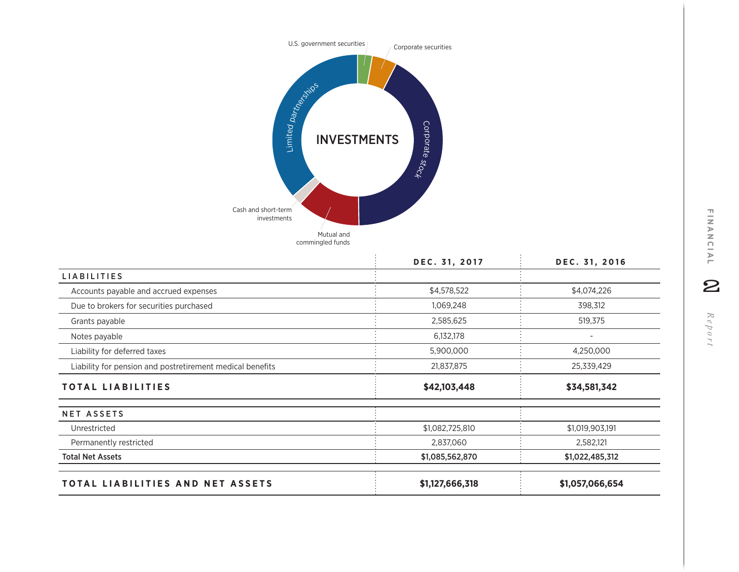

|                                                           | DEC. 31, 2017   | DEC. 31, 2016   |
|-----------------------------------------------------------|-----------------|-----------------|
| <b>LIABILITIES</b>                                        |                 |                 |
| Accounts payable and accrued expenses                     | \$4,578,522     | \$4,074,226     |
| Due to brokers for securities purchased                   | 1,069,248       | 398,312         |
| Grants payable                                            | 2,585,625       | 519,375         |
| Notes payable                                             | 6,132,178       |                 |
| Liability for deferred taxes                              | 5,900,000       | 4,250,000       |
| Liability for pension and postretirement medical benefits | 21,837,875      | 25,339,429      |
| <b>TOTAL LIABILITIES</b>                                  | \$42,103,448    | \$34,581,342    |
| <b>NET ASSETS</b>                                         |                 |                 |
| Unrestricted                                              | \$1,082,725,810 | \$1,019,903,191 |
| Permanently restricted                                    | 2,837,060       | 2,582,121       |
| <b>Total Net Assets</b>                                   | \$1,085,562,870 | \$1,022,485,312 |
| TOTAL LIABILITIES AND NET ASSETS                          | \$1,127,666,318 | \$1,057,066,654 |